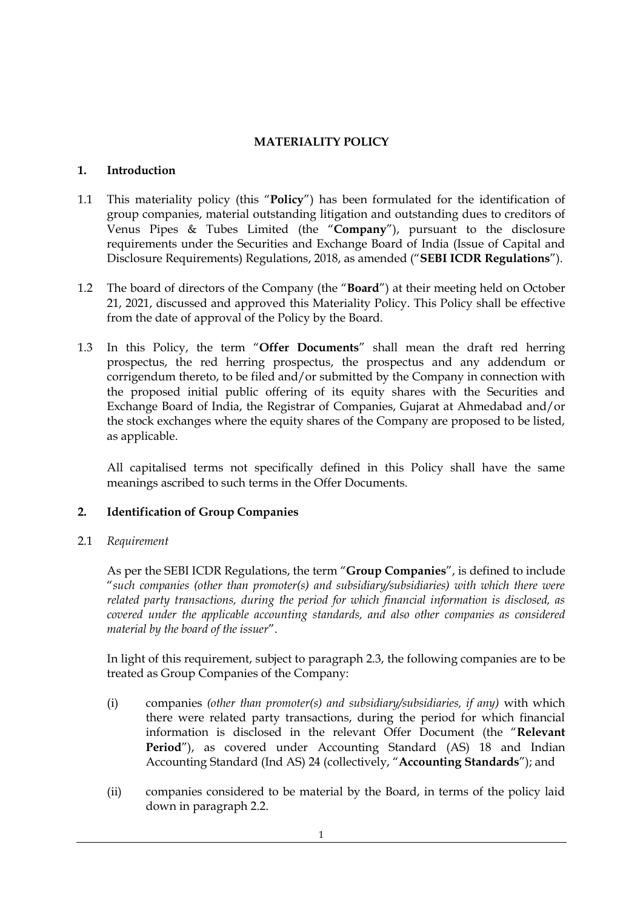# **MATERIALITY POLICY**

#### **1. Introduction**

- 1.1 This materiality policy (this "**Policy**") has been formulated for the identification of group companies, material outstanding litigation and outstanding dues to creditors of Venus Pipes & Tubes Limited (the "**Company**"), pursuant to the disclosure requirements under the Securities and Exchange Board of India (Issue of Capital and Disclosure Requirements) Regulations, 2018, as amended ("**SEBI ICDR Regulations**").
- 1.2 The board of directors of the Company (the "**Board**") at their meeting held on October 21, 2021, discussed and approved this Materiality Policy. This Policy shall be effective from the date of approval of the Policy by the Board.
- 1.3 In this Policy, the term "**Offer Documents**" shall mean the draft red herring prospectus, the red herring prospectus, the prospectus and any addendum or corrigendum thereto, to be filed and/or submitted by the Company in connection with the proposed initial public offering of its equity shares with the Securities and Exchange Board of India, the Registrar of Companies, Gujarat at Ahmedabad and/or the stock exchanges where the equity shares of the Company are proposed to be listed, as applicable.

All capitalised terms not specifically defined in this Policy shall have the same meanings ascribed to such terms in the Offer Documents.

## **2. Identification of Group Companies**

2.1 *Requirement*

As per the SEBI ICDR Regulations, the term "**Group Companies**", is defined to include "*such companies (other than promoter(s) and subsidiary/subsidiaries) with which there were related party transactions, during the period for which financial information is disclosed, as covered under the applicable accounting standards, and also other companies as considered material by the board of the issuer*".

In light of this requirement, subject to paragraph 2.3, the following companies are to be treated as Group Companies of the Company:

- (i) companies *(other than promoter(s) and subsidiary/subsidiaries, if any)* with which there were related party transactions, during the period for which financial information is disclosed in the relevant Offer Document (the "**Relevant**  Period"), as covered under Accounting Standard (AS) 18 and Indian Accounting Standard (Ind AS) 24 (collectively, "**Accounting Standards**"); and
- (ii) companies considered to be material by the Board, in terms of the policy laid down in paragraph 2.2.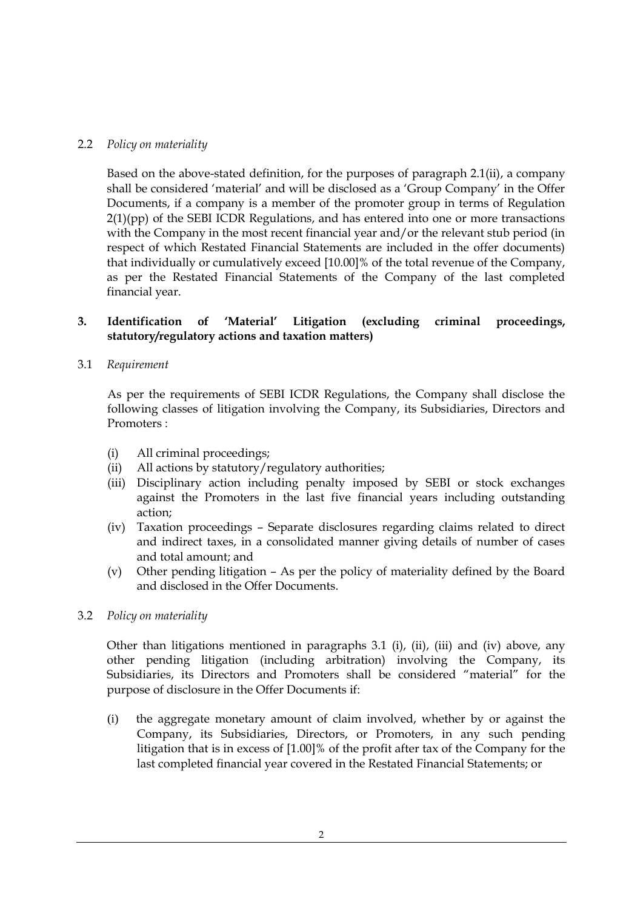#### 2.2 *Policy on materiality*

Based on the above-stated definition, for the purposes of paragraph 2.1(ii), a company shall be considered 'material' and will be disclosed as a 'Group Company' in the Offer Documents, if a company is a member of the promoter group in terms of Regulation  $2(1)(pp)$  of the SEBI ICDR Regulations, and has entered into one or more transactions with the Company in the most recent financial year and/or the relevant stub period (in respect of which Restated Financial Statements are included in the offer documents) that individually or cumulatively exceed [10.00]% of the total revenue of the Company, as per the Restated Financial Statements of the Company of the last completed financial year.

#### **3. Identification of 'Material' Litigation (excluding criminal proceedings, statutory/regulatory actions and taxation matters)**

3.1 *Requirement*

As per the requirements of SEBI ICDR Regulations, the Company shall disclose the following classes of litigation involving the Company, its Subsidiaries, Directors and Promoters :

- (i) All criminal proceedings;
- (ii) All actions by statutory/regulatory authorities;
- (iii) Disciplinary action including penalty imposed by SEBI or stock exchanges against the Promoters in the last five financial years including outstanding action;
- (iv) Taxation proceedings Separate disclosures regarding claims related to direct and indirect taxes, in a consolidated manner giving details of number of cases and total amount; and
- (v) Other pending litigation As per the policy of materiality defined by the Board and disclosed in the Offer Documents.
- 3.2 *Policy on materiality*

Other than litigations mentioned in paragraphs 3.1 (i), (ii), (iii) and (iv) above, any other pending litigation (including arbitration) involving the Company, its Subsidiaries, its Directors and Promoters shall be considered "material" for the purpose of disclosure in the Offer Documents if:

(i) the aggregate monetary amount of claim involved, whether by or against the Company, its Subsidiaries, Directors, or Promoters, in any such pending litigation that is in excess of [1.00]% of the profit after tax of the Company for the last completed financial year covered in the Restated Financial Statements; or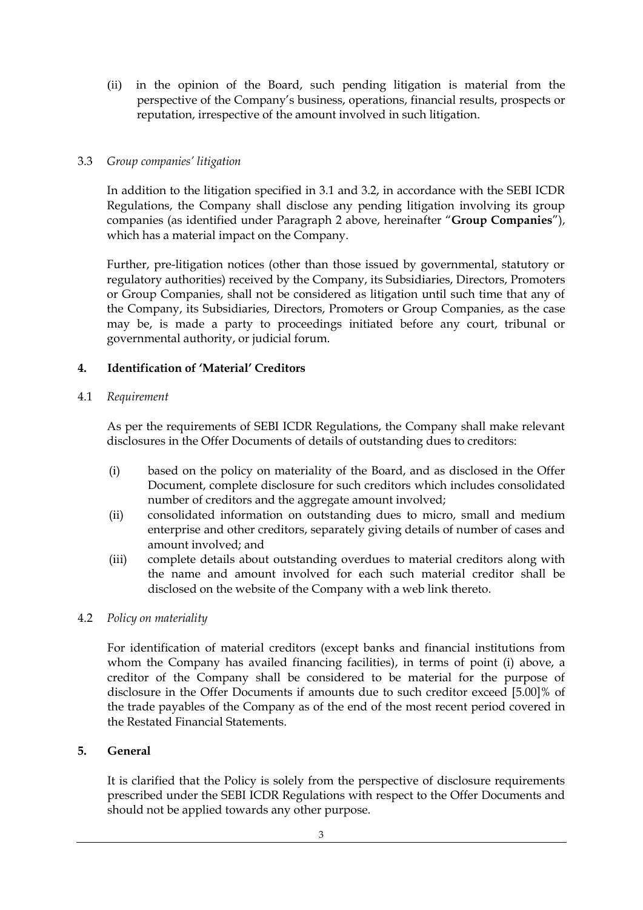(ii) in the opinion of the Board, such pending litigation is material from the perspective of the Company's business, operations, financial results, prospects or reputation, irrespective of the amount involved in such litigation.

## 3.3 *Group companies' litigation*

In addition to the litigation specified in 3.1 and 3.2, in accordance with the SEBI ICDR Regulations, the Company shall disclose any pending litigation involving its group companies (as identified under Paragraph 2 above, hereinafter "**Group Companies**"), which has a material impact on the Company.

Further, pre-litigation notices (other than those issued by governmental, statutory or regulatory authorities) received by the Company, its Subsidiaries, Directors, Promoters or Group Companies, shall not be considered as litigation until such time that any of the Company, its Subsidiaries, Directors, Promoters or Group Companies, as the case may be, is made a party to proceedings initiated before any court, tribunal or governmental authority, or judicial forum.

# **4. Identification of 'Material' Creditors**

## 4.1 *Requirement*

As per the requirements of SEBI ICDR Regulations, the Company shall make relevant disclosures in the Offer Documents of details of outstanding dues to creditors:

- (i) based on the policy on materiality of the Board, and as disclosed in the Offer Document, complete disclosure for such creditors which includes consolidated number of creditors and the aggregate amount involved;
- (ii) consolidated information on outstanding dues to micro, small and medium enterprise and other creditors, separately giving details of number of cases and amount involved; and
- (iii) complete details about outstanding overdues to material creditors along with the name and amount involved for each such material creditor shall be disclosed on the website of the Company with a web link thereto.

## 4.2 *Policy on materiality*

For identification of material creditors (except banks and financial institutions from whom the Company has availed financing facilities), in terms of point (i) above, a creditor of the Company shall be considered to be material for the purpose of disclosure in the Offer Documents if amounts due to such creditor exceed [5.00]% of the trade payables of the Company as of the end of the most recent period covered in the Restated Financial Statements.

## **5. General**

It is clarified that the Policy is solely from the perspective of disclosure requirements prescribed under the SEBI ICDR Regulations with respect to the Offer Documents and should not be applied towards any other purpose.